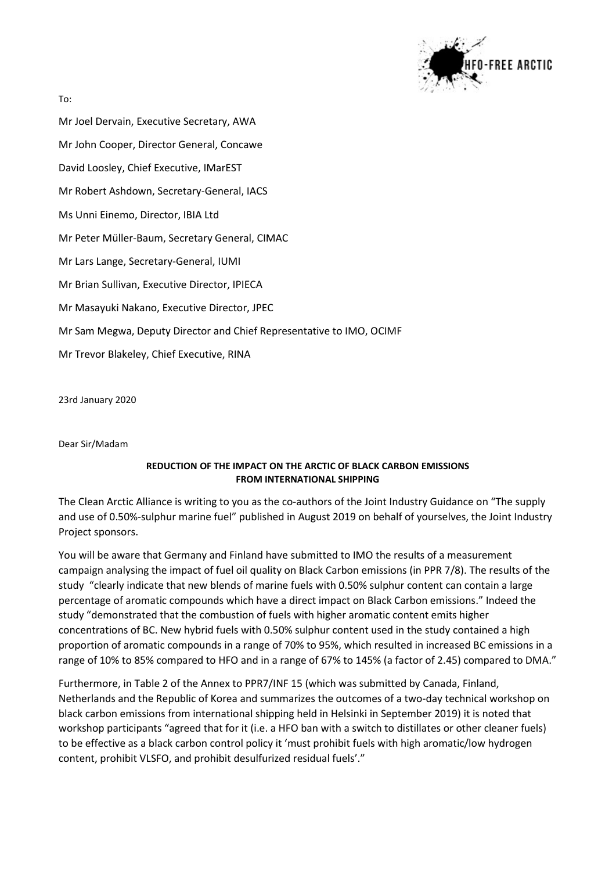

To:

Mr Joel Dervain, Executive Secretary, AWA Mr John Cooper, Director General, Concawe David Loosley, Chief Executive, IMarEST Mr Robert Ashdown, Secretary-General, IACS Ms Unni Einemo, Director, IBIA Ltd Mr Peter Müller-Baum, Secretary General, CIMAC Mr Lars Lange, Secretary-General, IUMI Mr Brian Sullivan, Executive Director, IPIECA Mr Masayuki Nakano, Executive Director, JPEC Mr Sam Megwa, Deputy Director and Chief Representative to IMO, OCIMF Mr Trevor Blakeley, Chief Executive, RINA

23rd January 2020

Dear Sir/Madam

## REDUCTION OF THE IMPACT ON THE ARCTIC OF BLACK CARBON EMISSIONS FROM INTERNATIONAL SHIPPING

The Clean Arctic Alliance is writing to you as the co-authors of the Joint Industry Guidance on "The supply and use of 0.50%-sulphur marine fuel" published in August 2019 on behalf of yourselves, the Joint Industry Project sponsors.

You will be aware that Germany and Finland have submitted to IMO the results of a measurement campaign analysing the impact of fuel oil quality on Black Carbon emissions (in PPR 7/8). The results of the study "clearly indicate that new blends of marine fuels with 0.50% sulphur content can contain a large percentage of aromatic compounds which have a direct impact on Black Carbon emissions." Indeed the study "demonstrated that the combustion of fuels with higher aromatic content emits higher concentrations of BC. New hybrid fuels with 0.50% sulphur content used in the study contained a high proportion of aromatic compounds in a range of 70% to 95%, which resulted in increased BC emissions in a range of 10% to 85% compared to HFO and in a range of 67% to 145% (a factor of 2.45) compared to DMA."

Furthermore, in Table 2 of the Annex to PPR7/INF 15 (which was submitted by Canada, Finland, Netherlands and the Republic of Korea and summarizes the outcomes of a two-day technical workshop on black carbon emissions from international shipping held in Helsinki in September 2019) it is noted that workshop participants "agreed that for it (i.e. a HFO ban with a switch to distillates or other cleaner fuels) to be effective as a black carbon control policy it 'must prohibit fuels with high aromatic/low hydrogen content, prohibit VLSFO, and prohibit desulfurized residual fuels'."